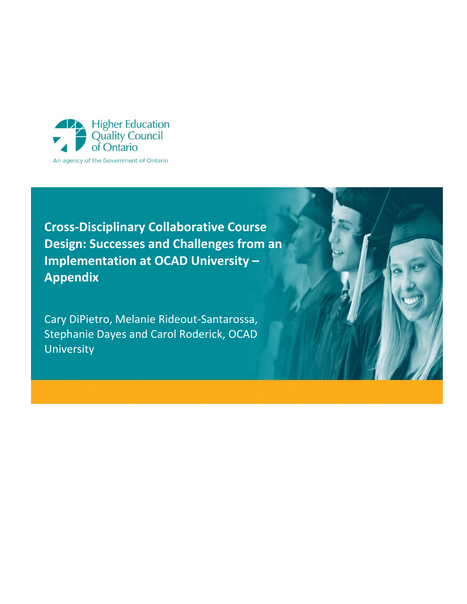

**Cross-Disciplinary Collaborative Course Design: Successes and Challenges from an Implementation at OCAD University – Appendix**

Cary DiPietro, Melanie Rideout-Santarossa, Stephanie Dayes and Carol Roderick, OCAD University

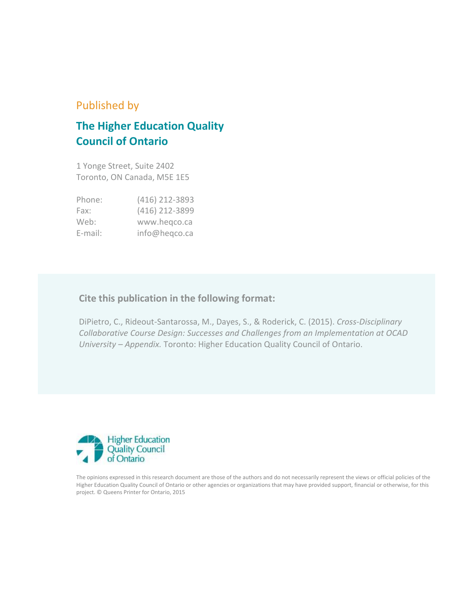# Published by

# **The Higher Education Quality Council of Ontario**

1 Yonge Street, Suite 2402 Toronto, ON Canada, M5E 1E5

| Phone:     | (416) 212-3893 |
|------------|----------------|
| Fax:       | (416) 212-3899 |
| Web:       | www.hegco.ca   |
| $E$ -mail: | info@heqco.ca  |

## **Cite this publication in the following format:**

DiPietro, C., Rideout-Santarossa, M., Dayes, S., & Roderick, C. (2015). *Cross-Disciplinary Collaborative Course Design: Successes and Challenges from an Implementation at OCAD University – Appendix.* Toronto: Higher Education Quality Council of Ontario.



The opinions expressed in this research document are those of the authors and do not necessarily represent the views or official policies of the Higher Education Quality Council of Ontario or other agencies or organizations that may have provided support, financial or otherwise, for this project. © Queens Printer for Ontario, 2015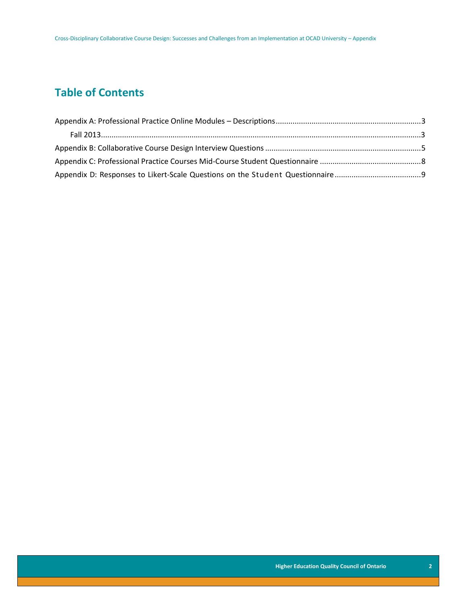# **Table of Contents**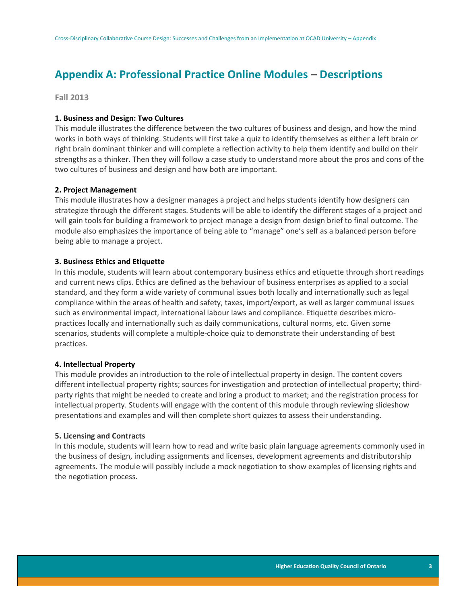# <span id="page-3-0"></span>**Appendix A: Professional Practice Online Modules – Descriptions**

<span id="page-3-1"></span>**Fall 2013**

### **1. Business and Design: Two Cultures**

This module illustrates the difference between the two cultures of business and design, and how the mind works in both ways of thinking. Students will first take a quiz to identify themselves as either a left brain or right brain dominant thinker and will complete a reflection activity to help them identify and build on their strengths as a thinker. Then they will follow a case study to understand more about the pros and cons of the two cultures of business and design and how both are important.

### **2. Project Management**

This module illustrates how a designer manages a project and helps students identify how designers can strategize through the different stages. Students will be able to identify the different stages of a project and will gain tools for building a framework to project manage a design from design brief to final outcome. The module also emphasizes the importance of being able to "manage" one's self as a balanced person before being able to manage a project.

### **3. Business Ethics and Etiquette**

In this module, students will learn about contemporary business ethics and etiquette through short readings and current news clips. Ethics are defined as the behaviour of business enterprises as applied to a social standard, and they form a wide variety of communal issues both locally and internationally such as legal compliance within the areas of health and safety, taxes, import/export, as well as larger communal issues such as environmental impact, international labour laws and compliance. Etiquette describes micropractices locally and internationally such as daily communications, cultural norms, etc. Given some scenarios, students will complete a multiple-choice quiz to demonstrate their understanding of best practices.

### **4. Intellectual Property**

This module provides an introduction to the role of intellectual property in design. The content covers different intellectual property rights; sources for investigation and protection of intellectual property; thirdparty rights that might be needed to create and bring a product to market; and the registration process for intellectual property. Students will engage with the content of this module through reviewing slideshow presentations and examples and will then complete short quizzes to assess their understanding.

#### **5. Licensing and Contracts**

In this module, students will learn how to read and write basic plain language agreements commonly used in the business of design, including assignments and licenses, development agreements and distributorship agreements. The module will possibly include a mock negotiation to show examples of licensing rights and the negotiation process.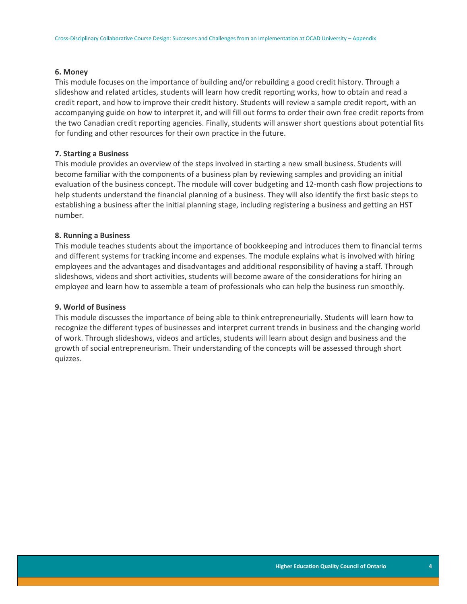### **6. Money**

This module focuses on the importance of building and/or rebuilding a good credit history. Through a slideshow and related articles, students will learn how credit reporting works, how to obtain and read a credit report, and how to improve their credit history. Students will review a sample credit report, with an accompanying guide on how to interpret it, and will fill out forms to order their own free credit reports from the two Canadian credit reporting agencies. Finally, students will answer short questions about potential fits for funding and other resources for their own practice in the future.

### **7. Starting a Business**

This module provides an overview of the steps involved in starting a new small business. Students will become familiar with the components of a business plan by reviewing samples and providing an initial evaluation of the business concept. The module will cover budgeting and 12-month cash flow projections to help students understand the financial planning of a business. They will also identify the first basic steps to establishing a business after the initial planning stage, including registering a business and getting an HST number.

### **8. Running a Business**

This module teaches students about the importance of bookkeeping and introduces them to financial terms and different systems for tracking income and expenses. The module explains what is involved with hiring employees and the advantages and disadvantages and additional responsibility of having a staff. Through slideshows, videos and short activities, students will become aware of the considerations for hiring an employee and learn how to assemble a team of professionals who can help the business run smoothly.

#### **9. World of Business**

This module discusses the importance of being able to think entrepreneurially. Students will learn how to recognize the different types of businesses and interpret current trends in business and the changing world of work. Through slideshows, videos and articles, students will learn about design and business and the growth of social entrepreneurism. Their understanding of the concepts will be assessed through short quizzes.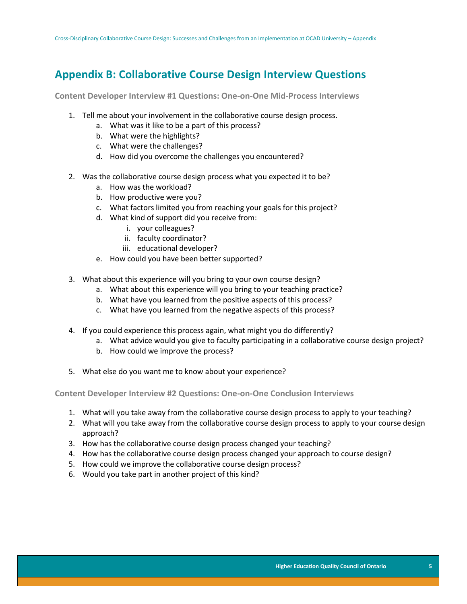# <span id="page-5-0"></span>**Appendix B: Collaborative Course Design Interview Questions**

**Content Developer Interview #1 Questions: One-on-One Mid-Process Interviews**

- 1. Tell me about your involvement in the collaborative course design process.
	- a. What was it like to be a part of this process?
	- b. What were the highlights?
	- c. What were the challenges?
	- d. How did you overcome the challenges you encountered?
- 2. Was the collaborative course design process what you expected it to be?
	- a. How was the workload?
	- b. How productive were you?
	- c. What factors limited you from reaching your goals for this project?
	- d. What kind of support did you receive from:
		- i. your colleagues?
		- ii. faculty coordinator?
		- iii. educational developer?
	- e. How could you have been better supported?
- 3. What about this experience will you bring to your own course design?
	- a. What about this experience will you bring to your teaching practice?
	- b. What have you learned from the positive aspects of this process?
	- c. What have you learned from the negative aspects of this process?
- 4. If you could experience this process again, what might you do differently?
	- a. What advice would you give to faculty participating in a collaborative course design project?
	- b. How could we improve the process?
- 5. What else do you want me to know about your experience?

**Content Developer Interview #2 Questions: One-on-One Conclusion Interviews**

- 1. What will you take away from the collaborative course design process to apply to your teaching?
- 2. What will you take away from the collaborative course design process to apply to your course design approach?
- 3. How has the collaborative course design process changed your teaching?
- 4. How has the collaborative course design process changed your approach to course design?
- 5. How could we improve the collaborative course design process?
- 6. Would you take part in another project of this kind?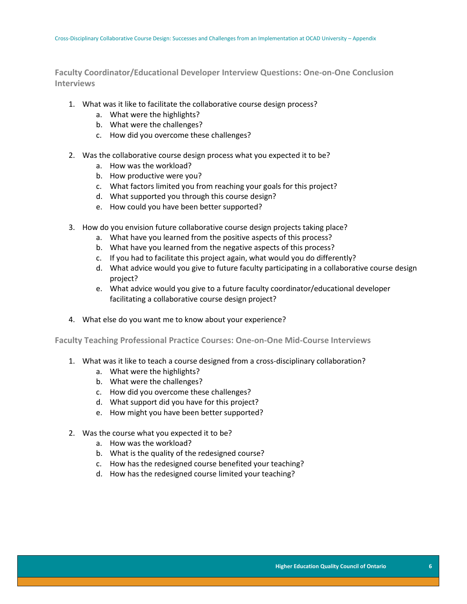**Faculty Coordinator/Educational Developer Interview Questions: One-on-One Conclusion Interviews**

- 1. What was it like to facilitate the collaborative course design process?
	- a. What were the highlights?
	- b. What were the challenges?
	- c. How did you overcome these challenges?
- 2. Was the collaborative course design process what you expected it to be?
	- a. How was the workload?
	- b. How productive were you?
	- c. What factors limited you from reaching your goals for this project?
	- d. What supported you through this course design?
	- e. How could you have been better supported?
- 3. How do you envision future collaborative course design projects taking place?
	- a. What have you learned from the positive aspects of this process?
	- b. What have you learned from the negative aspects of this process?
	- c. If you had to facilitate this project again, what would you do differently?
	- d. What advice would you give to future faculty participating in a collaborative course design project?
	- e. What advice would you give to a future faculty coordinator/educational developer facilitating a collaborative course design project?
- 4. What else do you want me to know about your experience?

**Faculty Teaching Professional Practice Courses: One-on-One Mid-Course Interviews**

- 1. What was it like to teach a course designed from a cross-disciplinary collaboration?
	- a. What were the highlights?
	- b. What were the challenges?
	- c. How did you overcome these challenges?
	- d. What support did you have for this project?
	- e. How might you have been better supported?
- 2. Was the course what you expected it to be?
	- a. How was the workload?
	- b. What is the quality of the redesigned course?
	- c. How has the redesigned course benefited your teaching?
	- d. How has the redesigned course limited your teaching?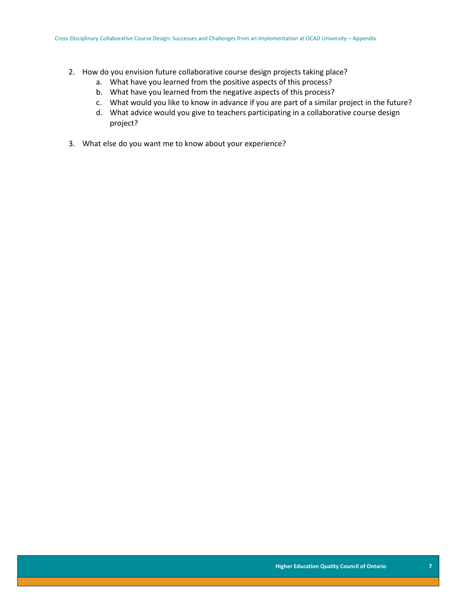- 2. How do you envision future collaborative course design projects taking place?
	- a. What have you learned from the positive aspects of this process?
	- b. What have you learned from the negative aspects of this process?
	- c. What would you like to know in advance if you are part of a similar project in the future?
	- d. What advice would you give to teachers participating in a collaborative course design project?
- <span id="page-7-0"></span>3. What else do you want me to know about your experience?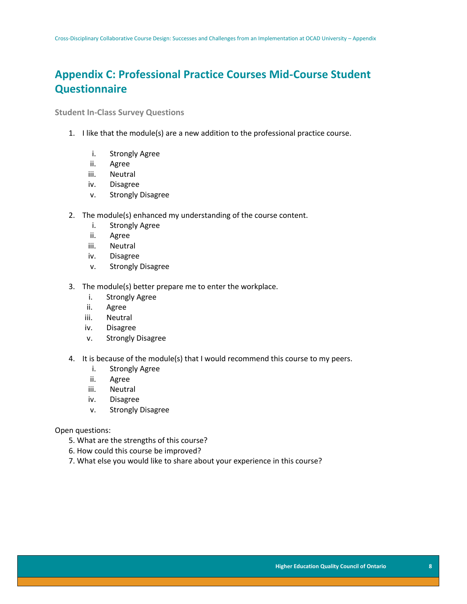# **Appendix C: Professional Practice Courses Mid-Course Student Questionnaire**

**Student In-Class Survey Questions**

- 1. I like that the module(s) are a new addition to the professional practice course.
	- i. Strongly Agree
	- ii. Agree
	- iii. Neutral
	- iv. Disagree
	- v. Strongly Disagree
- 2. The module(s) enhanced my understanding of the course content.
	- i. Strongly Agree
	- ii. Agree
	- iii. Neutral
	- iv. Disagree
	- v. Strongly Disagree
- 3. The module(s) better prepare me to enter the workplace.
	- i. Strongly Agree
	- ii. Agree
	- iii. Neutral
	- iv. Disagree
	- v. Strongly Disagree
- 4. It is because of the module(s) that I would recommend this course to my peers.
	- i. Strongly Agree
	- ii. Agree
	- iii. Neutral
	- iv. Disagree
	- v. Strongly Disagree

Open questions:

- 5. What are the strengths of this course?
- 6. How could this course be improved?
- 7. What else you would like to share about your experience in this course?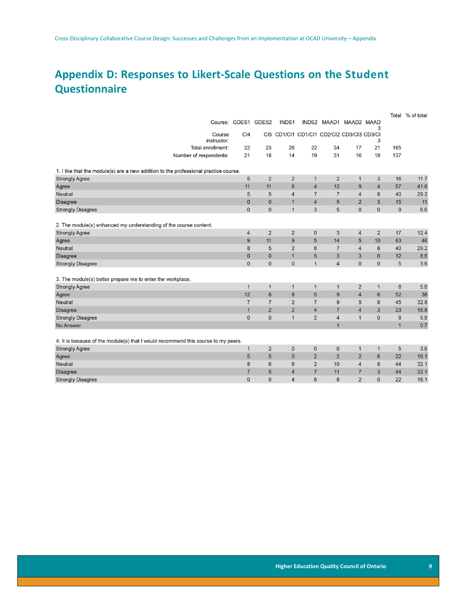# <span id="page-9-0"></span>**Appendix D: Responses to Likert-Scale Questions on the Student Questionnaire**

|                                                                                      |                        |                     |                |                                            |                |                        |                |                 |              | Total % of total |
|--------------------------------------------------------------------------------------|------------------------|---------------------|----------------|--------------------------------------------|----------------|------------------------|----------------|-----------------|--------------|------------------|
|                                                                                      |                        | Course: GDES1 GDES2 |                | INDS1                                      |                | INDS2 MAAD1 MAAD2 MAAD |                | 3               |              |                  |
|                                                                                      | Course<br>instructor:  | C <sub>14</sub>     |                | CI5 CD1/CI1 CD1/CI1 CD2/CI2 CD3/CI3 CD3/CI |                |                        |                | 3               |              |                  |
|                                                                                      | Total enrollment:      | 22                  | 23             | 26                                         | 22             | 34                     | 17             | 21              | 165          |                  |
|                                                                                      | Number of respondents: | 21                  | 18             | 14                                         | 19             | 31                     | 16             | 18              | 137          |                  |
| 1. I like that the module(s) are a new addition to the professional practice course. |                        |                     |                |                                            |                |                        |                |                 |              |                  |
| <b>Strongly Agree</b>                                                                |                        | 5                   | $\overline{2}$ | $\overline{2}$                             | $\mathbf{1}$   | $\overline{2}$         | $\mathbf{1}$   | 3               | 16           | 11.7             |
| Agree                                                                                |                        | 11                  | 11             | $6\phantom{1}6$                            | $\overline{4}$ | 12                     | 9              | $\overline{4}$  | 57           | 41.6             |
| <b>Neutral</b>                                                                       |                        | 5                   | 5              | $\overline{4}$                             | $\overline{7}$ | $\overline{7}$         | $\overline{4}$ | 8               | 40           | 29.2             |
| <b>Disagree</b>                                                                      |                        | $\mathbf{0}$        | $\Omega$       | $\overline{1}$                             | $\overline{4}$ | 5                      | $\overline{2}$ | 3               | 15           | 11               |
| <b>Strongly Disagree</b>                                                             |                        | $\mathbf{0}$        | $\mathbf{0}$   | $\overline{1}$                             | 3              | 5                      | $\mathbf{0}$   | $\mathbf{0}$    | 9            | 6.6              |
| 2. The module(s) enhanced my understanding of the course content.                    |                        |                     |                |                                            |                |                        |                |                 |              |                  |
| <b>Strongly Agree</b>                                                                |                        | $\overline{4}$      | $\overline{2}$ | $\overline{2}$                             | $\mathbf{0}$   | 3                      | $\overline{4}$ | $\overline{2}$  | 17           | 12.4             |
| Agree                                                                                |                        | 9                   | 11             | 9                                          | 5              | 14                     | 5              | 10              | 63           | 46               |
| <b>Neutral</b>                                                                       |                        | 8                   | 5              | $\overline{2}$                             | 8              | $\overline{7}$         | $\overline{4}$ | 6               | 40           | 29.2             |
| <b>Disagree</b>                                                                      |                        | $\mathbf{0}$        | $\mathbf{0}$   | $\overline{1}$                             | 5              | 3                      | 3              | $\mathbf{0}$    | 12           | 8.8              |
| <b>Strongly Disagree</b>                                                             |                        | $\mathbf{0}$        | $\mathbf{0}$   | $\pmb{0}$                                  | $\mathbf{1}$   | $\overline{4}$         | $\mathbf 0$    | $\mathbf{0}$    | 5            | 3.6              |
|                                                                                      |                        |                     |                |                                            |                |                        |                |                 |              |                  |
| 3. The module(s) better prepare me to enter the workplace.                           |                        |                     |                |                                            |                |                        |                |                 |              |                  |
| <b>Strongly Agree</b>                                                                |                        | $\mathbf{1}$        | $\mathbf{1}$   | $\mathbf{1}$                               | $\mathbf{1}$   | $\mathbf{1}$           | $\overline{2}$ | $\mathbf{1}$    | 8            | 5.8              |
| Agree                                                                                |                        | 12                  | 8              | $\boldsymbol{8}$                           | 5              | 9                      | $\overline{4}$ | $6\phantom{.}6$ | 52           | 38               |
| Neutral                                                                              |                        | $\overline{7}$      | $\overline{7}$ | $\overline{2}$                             | $\overline{7}$ | 9                      | 5              | 8               | 45           | 32.8             |
| <b>Disagree</b>                                                                      |                        | $\mathbf{1}$        | $\overline{2}$ | $\overline{2}$                             | $\overline{4}$ | $\overline{7}$         | $\overline{4}$ | 3               | 23           | 16.8             |
| <b>Strongly Disagree</b>                                                             |                        | $\mathbf{0}$        | $\mathbf{0}$   | $\mathbf{1}$                               | $\overline{2}$ | $\overline{4}$         | $\mathbf{1}$   | $\mathbf{0}$    | 8            | 5.8              |
| No Answer                                                                            |                        |                     |                |                                            |                | $\overline{1}$         |                |                 | $\mathbf{1}$ | 0.7              |
| 4. It is because of the module(s) that I would recommend this course to my peers.    |                        |                     |                |                                            |                |                        |                |                 |              |                  |
| <b>Strongly Agree</b>                                                                |                        | 1                   | $\overline{2}$ | $\mathbf{0}$                               | $\mathbf 0$    | $\mathbf{0}$           | $\mathbf{1}$   | $\mathbf{1}$    | 5            | 3.6              |
| Agree                                                                                |                        | 5                   | 5              | $\mathbf{0}$                               | $\overline{2}$ | $\overline{2}$         | $\overline{2}$ | 6               | 22           | 16.1             |
| <b>Neutral</b>                                                                       |                        | 8                   | 6              | 6                                          | $\overline{2}$ | 10                     | $\overline{4}$ | 8               | 44           | 32.1             |
| <b>Disagree</b>                                                                      |                        | $\overline{7}$      | 5              | $\overline{4}$                             | $\overline{7}$ | 11                     | $\overline{7}$ | 3               | 44           | 32.1             |
| <b>Strongly Disagree</b>                                                             |                        | $\mathbf{0}$        | $\mathbf{0}$   | $\overline{4}$                             | 8              | 8                      | $\overline{2}$ | $\mathbf{0}$    | 22           | 16.1             |
|                                                                                      |                        |                     |                |                                            |                |                        |                |                 |              |                  |